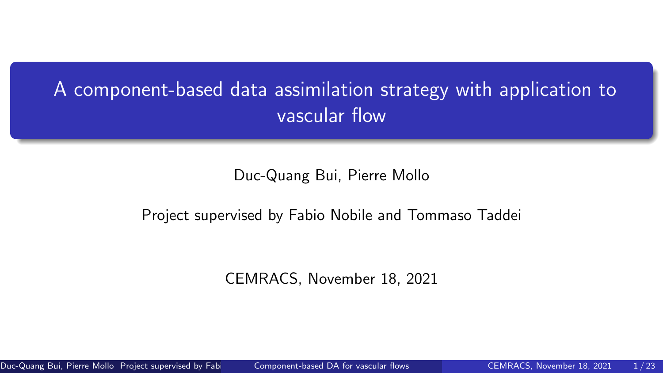# <span id="page-0-0"></span>A component-based data assimilation strategy with application to vascular flow

#### Duc-Quang Bui, Pierre Mollo

#### Project supervised by Fabio Nobile and Tommaso Taddei

CEMRACS, November 18, 2021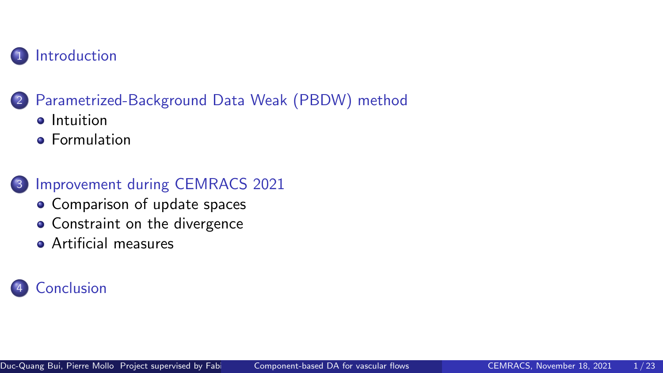

## 2 [Parametrized-Background Data Weak \(PBDW\) method](#page-9-0)

- **o** [Intuition](#page-10-0)
- **•** [Formulation](#page-12-0)
- 3 [Improvement during CEMRACS 2021](#page-14-0)
	- [Comparison of update spaces](#page-17-0)
	- [Constraint on the divergence](#page-17-0)
	- **[Artificial measures](#page-22-0)**

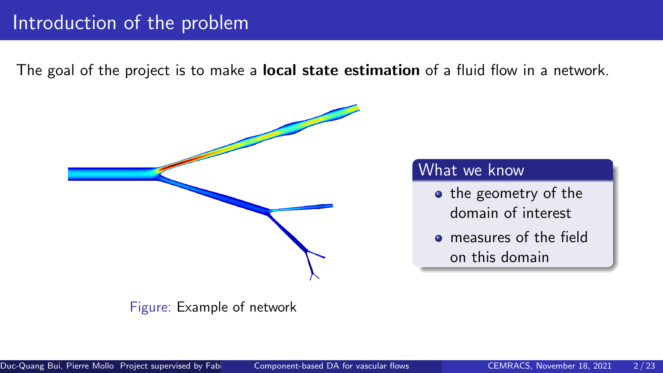## <span id="page-2-0"></span>Introduction of the problem

The goal of the project is to make a **local state estimation** of a fluid flow in a network.



Figure: Example of network

## What we know

- the geometry of the domain of interest
- measures of the field on this domain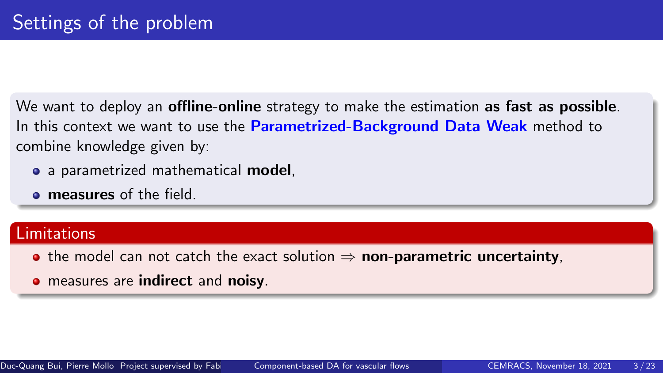We want to deploy an **offline-online** strategy to make the estimation as fast as possible. In this context we want to use the **Parametrized-Background Data Weak** method to combine knowledge given by:

- a parametrized mathematical model,
- **e** measures of the field.

#### Limitations

- the model can not catch the exact solution  $\Rightarrow$  non-parametric uncertainty,
- measures are indirect and noisy.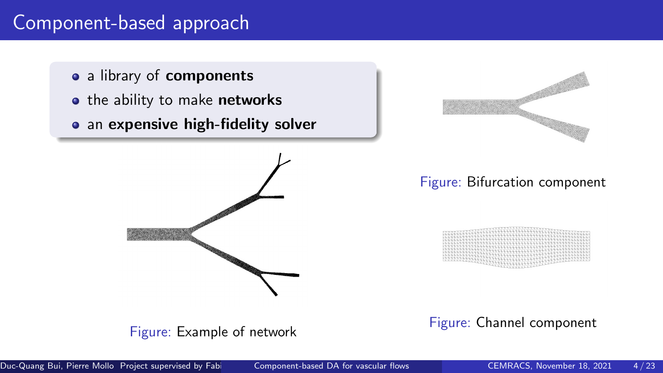## Component-based approach

- a library of components
- the ability to make networks
- an expensive high-fidelity solver





#### Figure: Bifurcation component



#### Figure: Channel component

Figure: Example of network

Duc-Quang Bui, Pierre Mollo Project supervised by Fabio [Component-based DA for vascular flows](#page-0-0) CEMRACS, November 18, 2021 4/23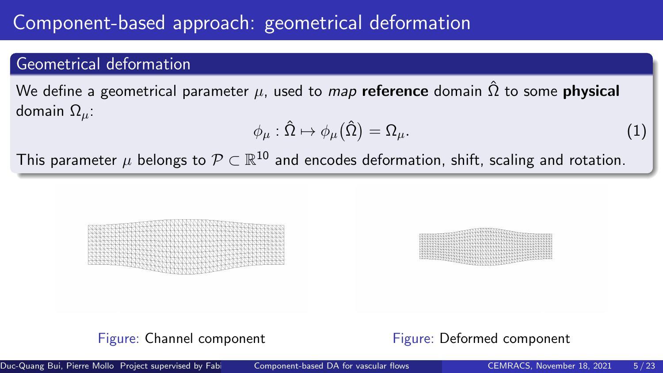# Component-based approach: geometrical deformation

## Geometrical deformation

We define a geometrical parameter  $\mu$ , used to map reference domain  $\hat{\Omega}$  to some **physical** domain  $Ω<sub>u</sub>$ :

$$
\phi_{\mu} : \hat{\Omega} \mapsto \phi_{\mu}(\hat{\Omega}) = \Omega_{\mu}.
$$
 (1)

This parameter  $\mu$  belongs to  $\mathcal{P} \subset \mathbb{R}^{10}$  and encodes deformation, shift, scaling and rotation.





#### Figure: Channel component Figure: Deformed component

Duc-Quang Bui, Pierre Mollo Project supervised by Fabio [Component-based DA for vascular flows](#page-0-0) CEMRACS, November 18, 2021 5/23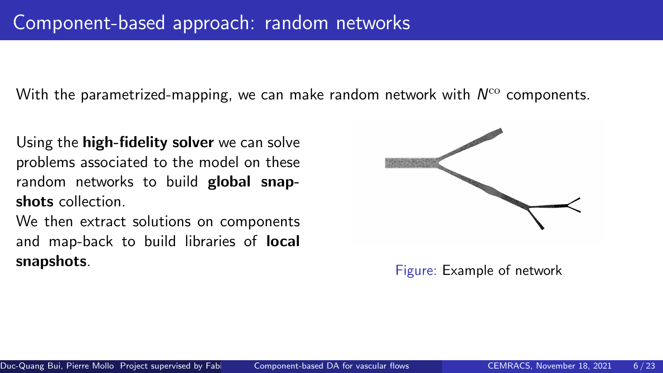With the parametrized-mapping, we can make random network with  $\mathcal{N}^{\mathrm{co}}$  components.

Using the **high-fidelity solver** we can solve problems associated to the model on these random networks to build global snapshots collection.

We then extract solutions on components and map-back to build libraries of local snapshots.



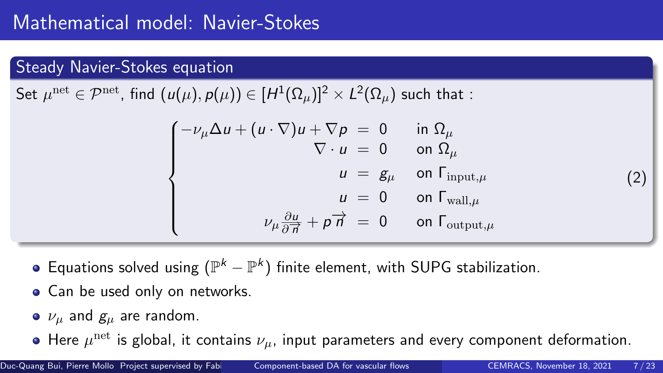## Steady Navier-Stokes equation

Set  $\mu^{\rm net}\in\mathcal{P}^{\rm net}$ , find  $(u(\mu),\rho(\mu))\in [H^1(\Omega_\mu)]^2\times L^2(\Omega_\mu)$  such that :

$$
\begin{cases}\n-\nu_{\mu}\Delta u + (u \cdot \nabla)u + \nabla p = 0 & \text{in } \Omega_{\mu} \\
\nabla \cdot u = 0 & \text{on } \Omega_{\mu} \\
u = g_{\mu} & \text{on } \Gamma_{\text{input},\mu} \\
u = 0 & \text{on } \Gamma_{\text{wall},\mu} \\
\nu_{\mu}\frac{\partial u}{\partial \vec{n}} + p \vec{n} = 0 & \text{on } \Gamma_{\text{output},\mu}\n\end{cases}
$$

- Equations solved using  $(\mathbb{P}^k-\mathbb{P}^k)$  finite element, with SUPG stabilization.
- Can be used only on networks.
- $\bullet$   $\nu_{\mu}$  and  $g_{\mu}$  are random.
- Here  $\mu^{\text{net}}$  is global, it contains  $\nu_{\mu}$ , input parameters and every component deformation.

(2)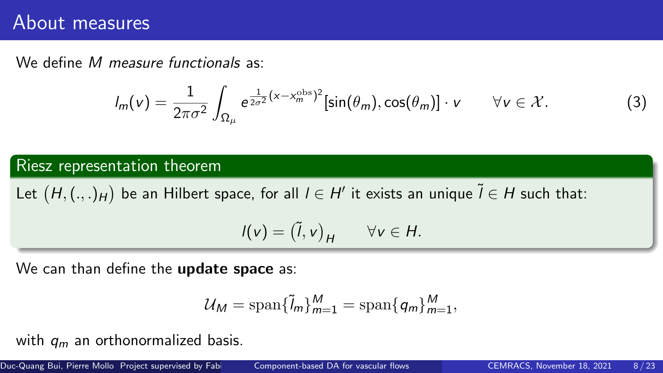## About measures

We define M measure functionals as:

$$
I_m(v) = \frac{1}{2\pi\sigma^2} \int_{\Omega_\mu} e^{\frac{1}{2\sigma^2}(x - x_m^{\text{obs}})^2} [\sin(\theta_m), \cos(\theta_m)] \cdot v \qquad \forall v \in \mathcal{X}.
$$
 (3)

Riesz representation theorem

Let  $(H, (.,.)_H)$  be an Hilbert space, for all  $I \in H'$  it exists an unique  $\widetilde{I} \in H$  such that:

$$
I(v) = (\tilde{l}, v)_H \qquad \forall v \in H.
$$

We can than define the **update space** as:

$$
\mathcal{U}_M = \text{span}\{\tilde{l}_m\}_{m=1}^M = \text{span}\{q_m\}_{m=1}^M,
$$

with  $q_m$  an orthonormalized basis.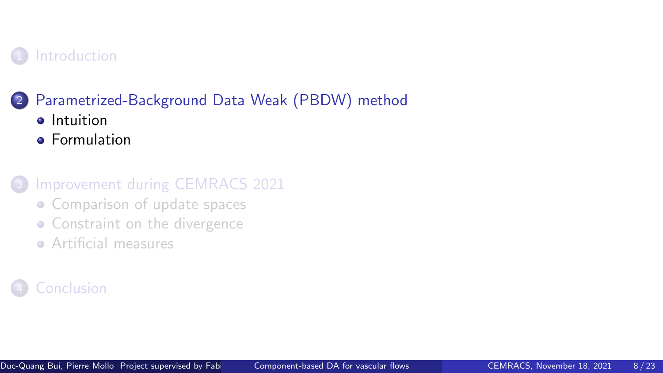## <span id="page-9-0"></span>**[Introduction](#page-2-0)**

## 2 [Parametrized-Background Data Weak \(PBDW\) method](#page-9-0)

- **o** [Intuition](#page-10-0)
- **•** [Formulation](#page-12-0)
- [Improvement during CEMRACS 2021](#page-14-0)
	- [Comparison of update spaces](#page-17-0)
	- [Constraint on the divergence](#page-17-0)
	- **[Artificial measures](#page-22-0)**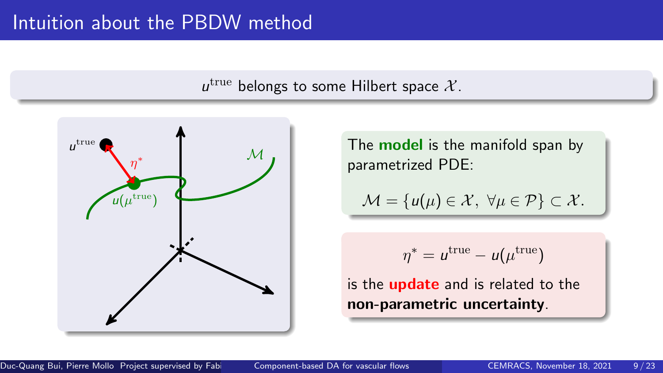## <span id="page-10-0"></span>Intuition about the PBDW method

 $u^{\text{true}}$ belongs to some Hilbert space  $X$ .



The **model** is the manifold span by parametrized PDE:

$$
\mathcal{M} = \{u(\mu) \in \mathcal{X}, \ \forall \mu \in \mathcal{P}\} \subset \mathcal{X}.
$$

$$
\eta^* = u^{\text{true}} - u(\mu^{\text{true}})
$$

is the **update** and is related to the non-parametric uncertainty.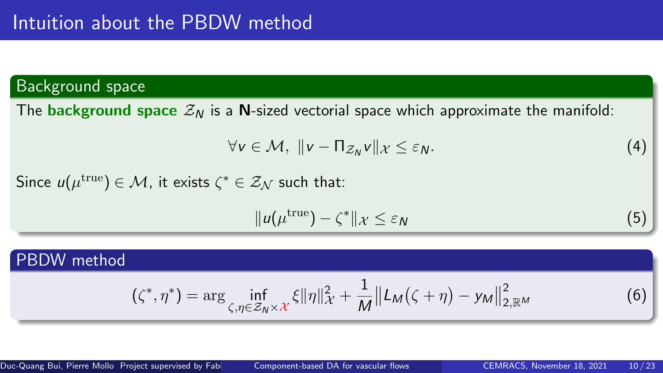## Background space

The **background space**  $\mathcal{Z}_N$  is a N-sized vectorial space which approximate the manifold:

$$
\forall v \in \mathcal{M}, \ \|v - \Pi_{\mathcal{Z}_N} v\|_{\mathcal{X}} \leq \varepsilon_N. \tag{4}
$$

Since  $u(\mu^{\rm true}) \in \mathcal{M}$ , it exists  $\zeta^* \in \mathcal{Z}_{\mathcal{N}}$  such that:

$$
||u(\mu^{\text{true}}) - \zeta^*||_{\mathcal{X}} \leq \varepsilon_N
$$
 (5)

#### PBDW method

$$
(\zeta^*, \eta^*) = \arg \inf_{\zeta, \eta \in \mathcal{Z}_N \times \mathcal{X}} \xi \|\eta\|_{\mathcal{X}}^2 + \frac{1}{M} \left\| L_M(\zeta + \eta) - y_M \right\|_{2, \mathbb{R}^M}^2
$$
 (6)

Duc-Quang Bui, Pierre Mollo Project supervised by Fabio [Component-based DA for vascular flows](#page-0-0) CEMRACS, November 18, 2021 10 / 23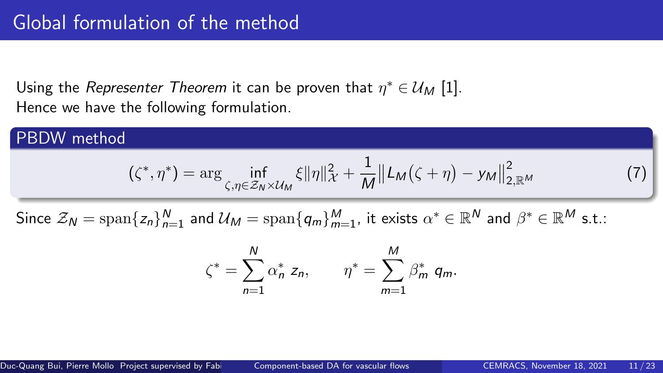<span id="page-12-0"></span>Using the *Representer Theorem* it can be proven that  $\eta^* \in \mathcal{U}_M$  [\[1\]](#page-25-1). Hence we have the following formulation.

#### PBDW method

$$
(\zeta^*, \eta^*) = \arg \inf_{\zeta, \eta \in \mathcal{Z}_N \times \mathcal{U}_M} \xi \| \eta \|_{\mathcal{X}}^2 + \frac{1}{M} \| L_M(\zeta + \eta) - y_M \|_{2, \mathbb{R}^M}^2
$$
 (7)

Since  $\mathcal{Z}_\mathsf{N}=\mathrm{span}\{z_n\}_{n=1}^{\mathsf{N}}$  and  $\mathcal{U}_\mathsf{M}=\mathrm{span}\{\mathsf{q}_m\}_{m=1}^{\mathsf{M}}$ , it exists  $\alpha^*\in\mathbb{R}^\mathsf{N}$  and  $\beta^*\in\mathbb{R}^\mathsf{M}$  s.t.:

$$
\zeta^* = \sum_{n=1}^N \alpha_n^* z_n, \qquad \eta^* = \sum_{m=1}^M \beta_m^* q_m.
$$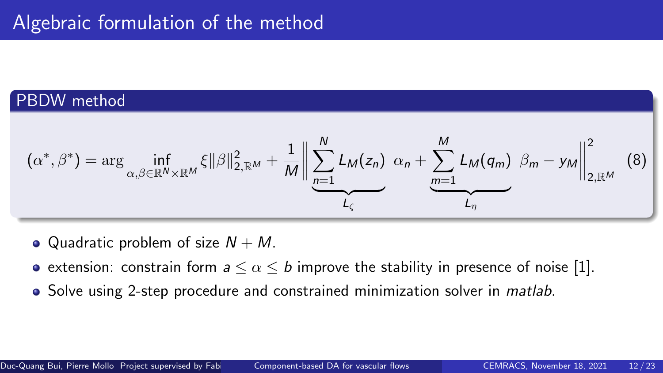## PBDW method

$$
(\alpha^*, \beta^*) = \arg \inf_{\alpha, \beta \in \mathbb{R}^N \times \mathbb{R}^M} \xi \|\beta\|_{2, \mathbb{R}^M}^2 + \frac{1}{M} \left\| \sum_{n=1}^N L_M(z_n) \alpha_n + \sum_{m=1}^M L_M(q_m) \beta_m - y_M \right\|_{2, \mathbb{R}^M}^2 \tag{8}
$$

- Quadratic problem of size  $N + M$ .
- extension: constrain form  $a \leq \alpha \leq b$  improve the stability in presence of noise [\[1\]](#page-25-1).
- Solve using 2-step procedure and constrained minimization solver in *matlab*.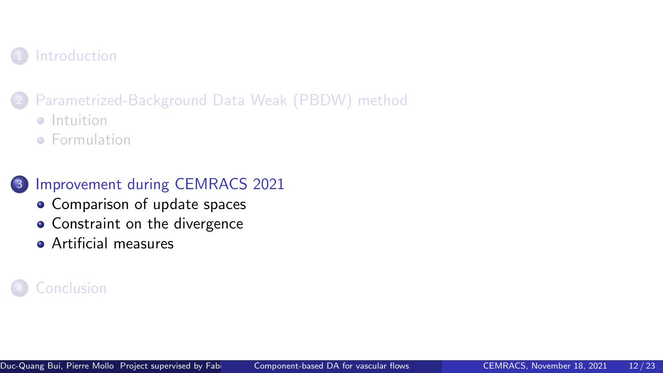## <span id="page-14-0"></span>**[Introduction](#page-2-0)**

## 2 [Parametrized-Background Data Weak \(PBDW\) method](#page-9-0)

- **o** [Intuition](#page-10-0)
- **•** [Formulation](#page-12-0)

## 3 [Improvement during CEMRACS 2021](#page-14-0)

- [Comparison of update spaces](#page-17-0)
- [Constraint on the divergence](#page-17-0)
- **[Artificial measures](#page-22-0)**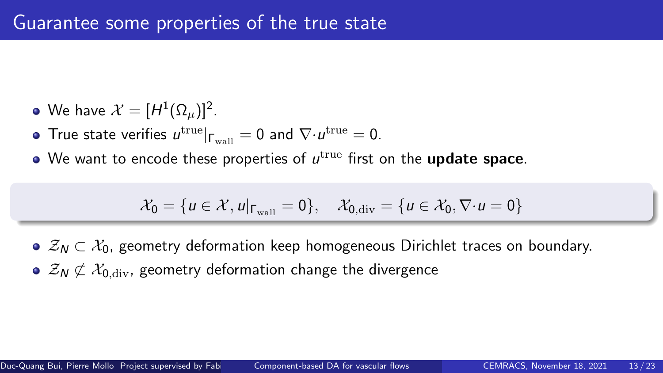- We have  $\mathcal{X} = [H^1(\Omega_\mu)]^2$  .
- True state verifies  $u^{\rm true}|_{\mathsf \Gamma_{\rm wall}} = 0$  and  $\nabla{\cdot}u^{\rm true} = 0.$
- We want to encode these properties of  $u^{\rm true}$  first on the  $\bf update~ space$ .

$$
\mathcal{X}_0 = \{u \in \mathcal{X}, u|_{\Gamma_{\text{wall}}} = 0\}, \quad \mathcal{X}_{0, \text{div}} = \{u \in \mathcal{X}_0, \nabla \cdot u = 0\}
$$

- $\mathcal{Z}_{\mathcal{N}} \subset \mathcal{X}_0$ , geometry deformation keep homogeneous Dirichlet traces on boundary.
- $\bullet$   $\mathcal{Z}_{N} \not\subset \mathcal{X}_{0,\text{div}}$ , geometry deformation change the divergence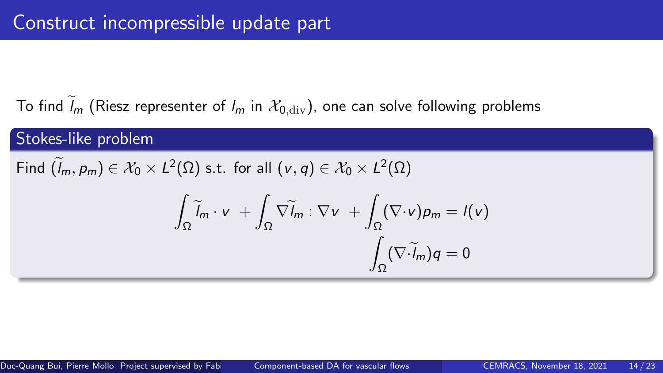To find  $\widetilde{l}_m$  (Riesz representer of  $l_m$  in  $\mathcal{X}_{0.\text{div}}$ ), one can solve following problems

## Stokes-like problem Find  $(l_m, p_m) \in \mathcal{X}_0 \times L^2(\Omega)$  s.t. for all  $(v, q) \in \mathcal{X}_0 \times L^2(\Omega)$ Z  $\int_{\Omega} \widetilde{I}_m \cdot v +$  $\int_\Omega \nabla \widetilde l_m : \nabla \mathrm{\textbf{v}} \; + \int$ Ω  $(\nabla \cdot v)p_m = l(v)$  $\int\limits_\Omega {(\nabla \cdot l_m)} q = 0$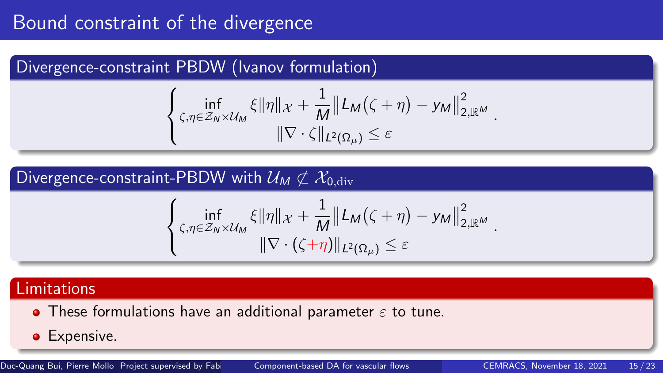# <span id="page-17-0"></span>Bound constraint of the divergence

## Divergence-constraint PBDW (Ivanov formulation)

$$
\left\{\n\inf_{\zeta,\eta\in\mathcal{Z}_N\times\mathcal{U}_M}\n\xi\|\eta\|_{\mathcal{X}}+\frac{1}{M}\|\mathcal{L}_M(\zeta+\eta)-\mathcal{Y}_M\|_{2,\mathbb{R}^M}^2\right.\n\cdot\n\|\nabla\cdot\zeta\|_{L^2(\Omega_\mu)}\leq\varepsilon
$$

## Divergence-constraint-PBDW with  $\mathcal{U}_M \not\subset \mathcal{X}_{0,\text{div}}$

$$
\left\{\n\inf_{\zeta,\eta\in\mathcal{Z}_N\times\mathcal{U}_M}\n\xi\|\eta\|_{\mathcal{X}}+\frac{1}{M}\|\mathcal{L}_M(\zeta+\eta)-\mathcal{Y}_M\|_{2,\mathbb{R}^M}^2\right\}
$$
\n
$$
\|\nabla\cdot(\zeta+\eta)\|_{L^2(\Omega_\mu)}\leq\varepsilon
$$

## Limitations

- These formulations have an additional parameter  $\varepsilon$  to tune.
- **•** Expensive.

Duc-Quang Bui, Pierre Mollo Project supervised by Fabi [Component-based DA for vascular flows](#page-0-0) CEMRACS, November 18, 2021 15 / 23

.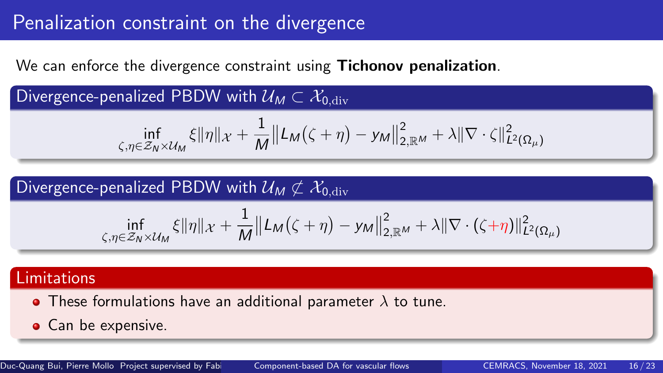# Penalization constraint on the divergence

We can enforce the divergence constraint using **Tichonov penalization**.

Divergence-penalized PBDW with  $\mathcal{U}_M \subset \mathcal{X}_{0,\text{div}}$ 

$$
\inf_{\zeta,\eta\in\mathcal{Z}_N\times\mathcal{U}_M}\xi\|\eta\|_{\mathcal{X}}+\frac{1}{M}\big\|L_M\big(\zeta+\eta\big)-y_M\big\|_{2,\mathbb{R}^M}^2+\lambda\|\nabla\cdot\zeta\|_{L^2(\Omega_\mu)}^2
$$

## Divergence-penalized PBDW with  $U_M \not\subset \mathcal{X}_{0,\text{div}}$

$$
\inf_{\zeta,\eta\in\mathcal{Z}_N\times\mathcal{U}_M}\xi\|\eta\|_{\mathcal{X}}+\frac{1}{M}\big\|\mathcal{L}_M(\zeta+\eta)-\mathsf{y}_M\big\|_{2,\mathbb{R}^M}^2+\lambda\|\nabla\cdot(\zeta+\eta)\|_{\mathcal{L}^2(\Omega_\mu)}^2
$$

#### Limitations

- These formulations have an additional parameter  $\lambda$  to tune.
- Can be expensive.

Duc-Quang Bui, Pierre Mollo Project supervised by Fabi [Component-based DA for vascular flows](#page-0-0) CEMRACS, November 18, 2021 16 / 23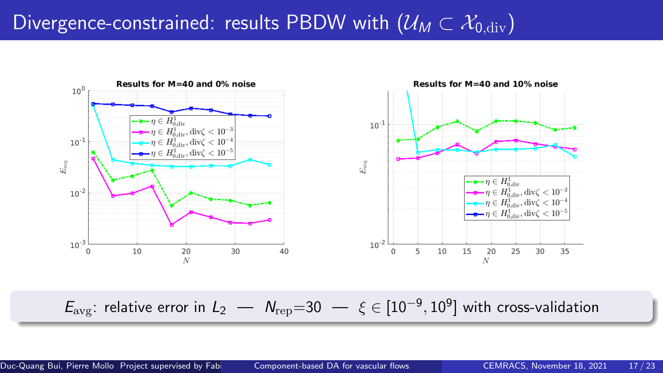# Divergence-constrained: results PBDW with  $(\mathcal{U}_M \subset \mathcal{X}_{0,\text{div}})$



Eavg: relative error in L<sup>2</sup> — Nrep=30 — ξ ∈ [10−<sup>9</sup> , 10<sup>9</sup> ] with cross-validation

Duc-Quang Bui, Pierre Mollo Project supervised by Fabio [Component-based DA for vascular flows](#page-0-0) CEMRACS, November 18, 2021 17/23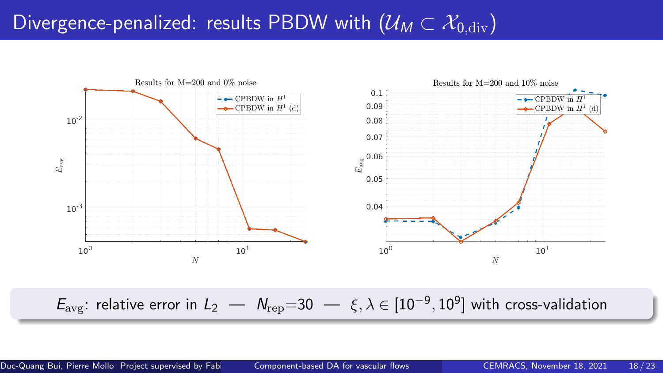# Divergence-penalized: results PBDW with  $(\mathcal{U}_M \subset \mathcal{X}_{0,\text{div}})$



 $E_{\rm avg}$ : relative error in  $L_2$   $N_{\rm rep}$ =30  $\xi, \lambda \in [10^{-9}, 10^9]$  with cross-validation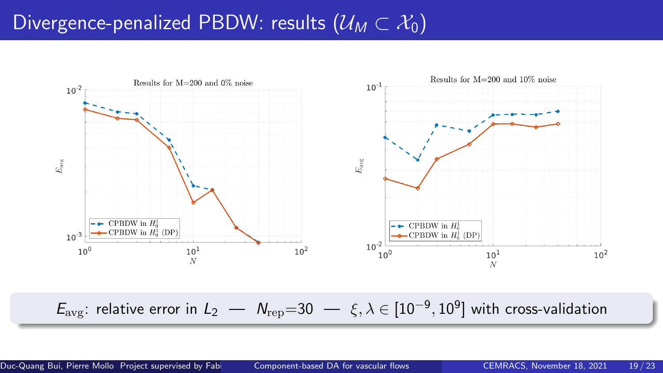# Divergence-penalized PBDW: results  $(\mathcal{U}_M \subset \mathcal{X}_0)$



 $E_{\rm avg}$ : relative error in  $L_2$   $N_{\rm rep}$ =30  $\xi, \lambda \in [10^{-9}, 10^9]$  with cross-validation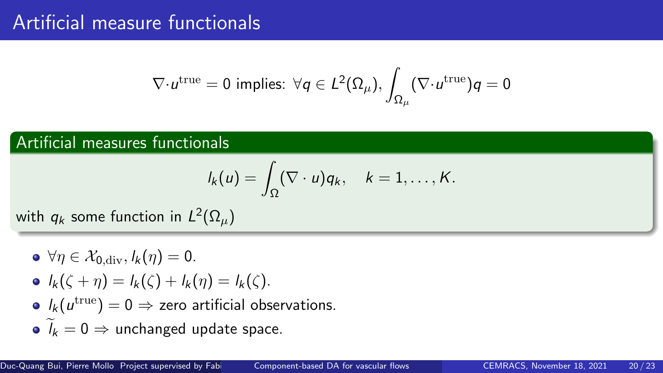## <span id="page-22-0"></span>Artificial measure functionals

$$
\nabla\cdot u^{\rm true}=0\,\,\text{implies:}\,\,\forall q\in\mathcal{L}^2(\Omega_\mu),\int_{\Omega_\mu}(\nabla\cdot u^{\rm true})q=0
$$

## Artificial measures functionals

$$
I_k(u)=\int_{\Omega}(\nabla\cdot u)q_k,\quad k=1,\ldots,K.
$$

with  $q_k$  some function in  $L^2(\Omega_\mu)$ 

- $\bullet \forall \eta \in \mathcal{X}_{0 \text{ div}}, l_k(\eta) = 0.$
- $l_k(\zeta + \eta) = l_k(\zeta) + l_k(\eta) = l_k(\zeta)$ .
- $l_k(u^{\rm true})=0 \Rightarrow$  zero artificial observations.
- $\widetilde{\ell}_{\nu} = 0 \Rightarrow$  unchanged update space.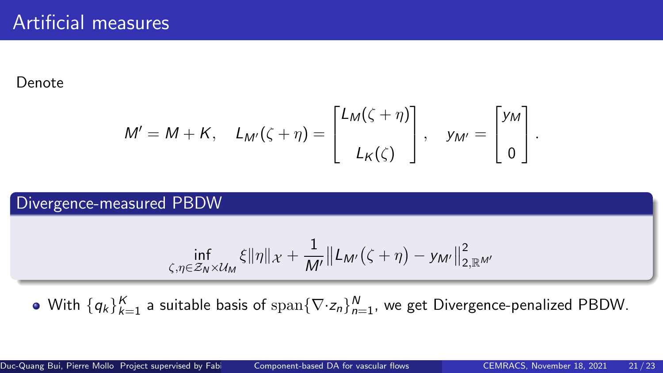#### Denote

$$
M' = M + K, \quad L_{M'}(\zeta + \eta) = \begin{bmatrix} L_M(\zeta + \eta) \\ L_K(\zeta) \end{bmatrix}, \quad y_{M'} = \begin{bmatrix} y_M \\ 0 \end{bmatrix}.
$$

#### Divergence-measured PBDW

$$
\inf_{\zeta,\eta\in\mathcal{Z}_N\times\mathcal{U}_M}\xi\|\eta\|_{\mathcal{X}}+\frac{1}{M'}\big\|L_{M'}\big(\zeta+\eta\big)-y_{M'}\big\|_{2,\mathbb{R}^{M'}}^2
$$

With  $\{\pmb{q}_k\}_{k=1}^K$  a suitable basis of  $\operatorname{span}\{\nabla\cdot\mathsf{z}_n\}_{n=1}^N$ , we get Divergence-penalized PBDW.

Duc-Quang Bui, Pierre Mollo Project supervised by Fabio [Component-based DA for vascular flows](#page-0-0) CEMRACS, November 18, 2021 21/23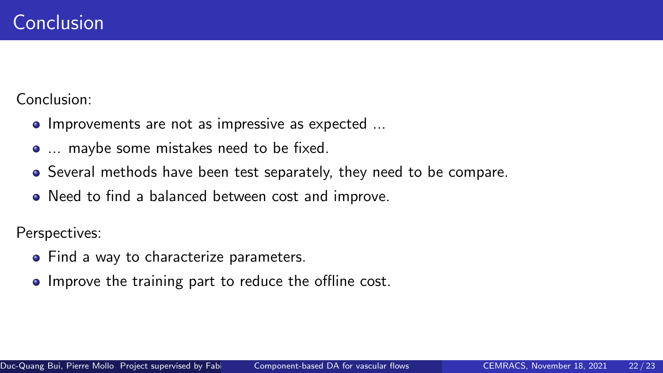<span id="page-24-0"></span>Conclusion:

- Improvements are not as impressive as expected ...
- ... maybe some mistakes need to be fixed.
- Several methods have been test separately, they need to be compare.
- Need to find a balanced between cost and improve.

Perspectives:

- Find a way to characterize parameters.
- Improve the training part to reduce the offline cost.